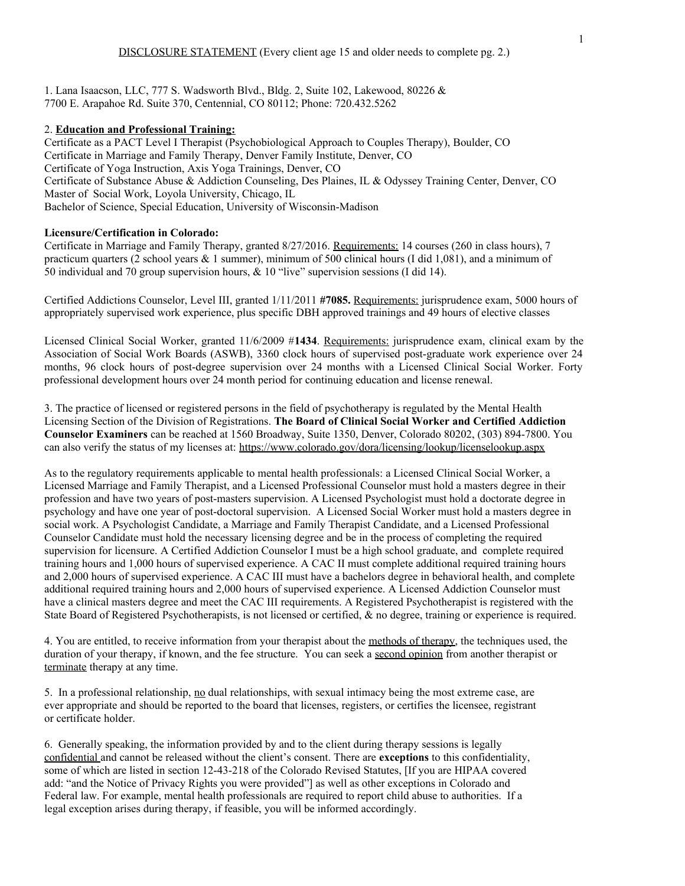1. Lana Isaacson, LLC, 777 S. Wadsworth Blvd., Bldg. 2, Suite 102, Lakewood, 80226 & 7700 E. Arapahoe Rd. Suite 370, Centennial, CO 80112; Phone: 720.432.5262

### 2. **Education and Professional Training:**

Certificate as a PACT Level I Therapist (Psychobiological Approach to Couples Therapy), Boulder, CO Certificate in Marriage and Family Therapy, Denver Family Institute, Denver, CO Certificate of Yoga Instruction, Axis Yoga Trainings, Denver, CO Certificate of Substance Abuse & Addiction Counseling, Des Plaines, IL & Odyssey Training Center, Denver, CO Master of Social Work, Loyola University, Chicago, IL Bachelor of Science, Special Education, University of Wisconsin-Madison

### **Licensure/Certification in Colorado:**

Certificate in Marriage and Family Therapy, granted 8/27/2016. Requirements: 14 courses (260 in class hours), 7 practicum quarters (2 school years & 1 summer), minimum of 500 clinical hours (I did 1,081), and a minimum of 50 individual and 70 group supervision hours, & 10 "live" supervision sessions (I did 14).

Certified Addictions Counselor, Level III, granted 1/11/2011 **#7085.** Requirements: jurisprudence exam, 5000 hours of appropriately supervised work experience, plus specific DBH approved trainings and 49 hours of elective classes

Licensed Clinical Social Worker, granted 11/6/2009 #**1434**. Requirements: jurisprudence exam, clinical exam by the Association of Social Work Boards (ASWB), 3360 clock hours of supervised post-graduate work experience over 24 months, 96 clock hours of post-degree supervision over 24 months with a Licensed Clinical Social Worker. Forty professional development hours over 24 month period for continuing education and license renewal.

3. The practice of licensed or registered persons in the field of psychotherapy is regulated by the Mental Health Licensing Section of the Division of Registrations. **The Board of Clinical Social Worker and Certified Addiction Counselor Examiners** can be reached at 1560 Broadway, Suite 1350, Denver, Colorado 80202, (303) 894-7800. You can also verify the status of my licenses at: https://www.colorado.gov/dora/licensing/lookup/licenselookup.aspx

As to the regulatory requirements applicable to mental health professionals: a Licensed Clinical Social Worker, a Licensed Marriage and Family Therapist, and a Licensed Professional Counselor must hold a masters degree in their profession and have two years of post-masters supervision. A Licensed Psychologist must hold a doctorate degree in psychology and have one year of post-doctoral supervision. A Licensed Social Worker must hold a masters degree in social work. A Psychologist Candidate, a Marriage and Family Therapist Candidate, and a Licensed Professional Counselor Candidate must hold the necessary licensing degree and be in the process of completing the required supervision for licensure. A Certified Addiction Counselor I must be a high school graduate, and complete required training hours and 1,000 hours of supervised experience. A CAC II must complete additional required training hours and 2,000 hours of supervised experience. A CAC III must have a bachelors degree in behavioral health, and complete additional required training hours and 2,000 hours of supervised experience. A Licensed Addiction Counselor must have a clinical masters degree and meet the CAC III requirements. A Registered Psychotherapist is registered with the State Board of Registered Psychotherapists, is not licensed or certified, & no degree, training or experience is required.

4. You are entitled, to receive information from your therapist about the methods of therapy, the techniques used, the duration of your therapy, if known, and the fee structure. You can seek a second opinion from another therapist or terminate therapy at any time.

5. In a professional relationship, no dual relationships, with sexual intimacy being the most extreme case, are ever appropriate and should be reported to the board that licenses, registers, or certifies the licensee, registrant or certificate holder.

6. Generally speaking, the information provided by and to the client during therapy sessions is legally confidential and cannot be released without the client's consent. There are **exceptions** to this confidentiality, some of which are listed in section 12-43-218 of the Colorado Revised Statutes, [If you are HIPAA covered add: "and the Notice of Privacy Rights you were provided"] as well as other exceptions in Colorado and Federal law. For example, mental health professionals are required to report child abuse to authorities. If a legal exception arises during therapy, if feasible, you will be informed accordingly.